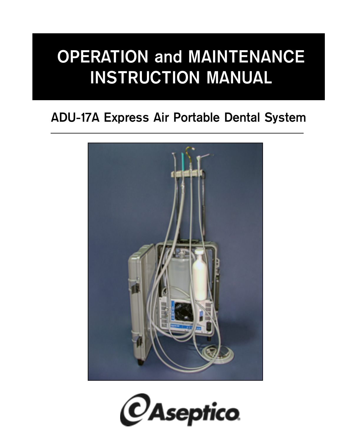# **OPERATION and MAINTENANCE INSTRUCTION MANUAL**

## **ADU-17A Express Air Portable Dental System**



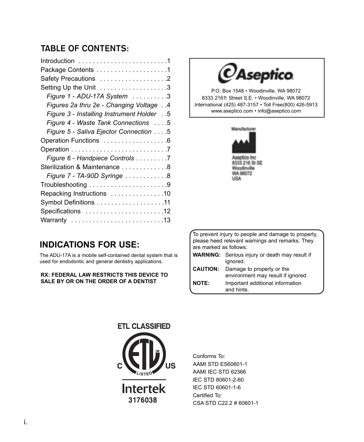### **TABLE OF CONTENTS:**

| Package Contents 1                           |
|----------------------------------------------|
| Safety Precautions 2                         |
| Setting Up the Unit 3                        |
| Figure 1 - ADU-17A System 3                  |
| Figures 2a thru 2e - Changing Voltage 4      |
| 5. . Figure 3 - Installing Instrument Holder |
| Figure 4 - Waste Tank Connections 5          |
| Figure 5 - Saliva Ejector Connection 5       |
| Operation Functions 6                        |
|                                              |
| Figure 6 - Handpiece Controls 7              |
| Sterilization & Maintenance 8                |
| Figure 7 - TA-90D Syringe 8                  |
|                                              |
| Repacking Instructions 10                    |
| Symbol Definitions 11                        |
| Specifications 12                            |
| Warranty 13                                  |



P.O. Box 1548 • Woodinville, WA 98072 8333 216th Street S.E. • Woodinville, WA 98072 International (425) 487-3157 • Toll Free(800) 426-5913 www.aseptico.com • info@aseptico.com



### **INDICATIONS FOR USE:**

The ADU-17A is a mobile self-contained dental system that is used for endodontic and general dentistry applications.

#### **RX: FEDERAL LAW RESTRICTS THIS DEVICE TO SALE BY OR ON THE ORDER OF A DENTIST**

To prevent injury to people and damage to property, please heed relevant warnings and remarks. They are marked as follows:

|                 | <b>WARNING:</b> Serious injury or death may result if |  |  |  |  |
|-----------------|-------------------------------------------------------|--|--|--|--|
|                 | ignored.                                              |  |  |  |  |
| <b>CAUTION:</b> | Damage to property or the                             |  |  |  |  |
|                 | environment may result if ignored.                    |  |  |  |  |
| <b>NOTE:</b>    | Important additional information                      |  |  |  |  |
|                 | and hints.                                            |  |  |  |  |



Conforms To: AAMI STD ES60601-1 AAMI IEC STD 62366 IEC STD 80601-2-60 IEC STD 60601-1-6 Certified To: CSA STD C22.2 # 60601-1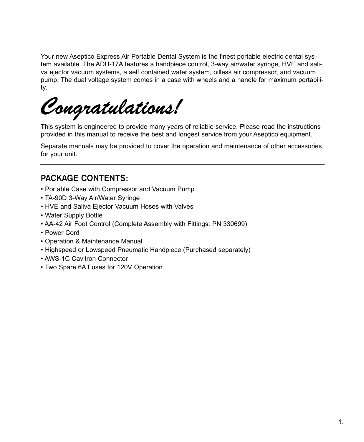Your new Aseptico Express Air Portable Dental System is the finest portable electric dental system available. The ADU-17A features a handpiece control, 3-way air/water syringe, HVE and saliva ejector vacuum systems, a self contained water system, oilless air compressor, and vacuum pump. The dual voltage system comes in a case with wheels and a handle for maximum portability.

Congratulations!

This system is engineered to provide many years of reliable service. Please read the instructions provided in this manual to receive the best and longest service from your Aseptico equipment.

Separate manuals may be provided to cover the operation and maintenance of other accessories for your unit.

### **PACKAGE CONTENTS:**

- Portable Case with Compressor and Vacuum Pump
- TA-90D 3-Way Air/Water Syringe
- HVE and Saliva Ejector Vacuum Hoses with Valves
- Water Supply Bottle
- AA-42 Air Foot Control (Complete Assembly with Fittings: PN 330699)
- Power Cord
- Operation & Maintenance Manual
- Highspeed or Lowspeed Pneumatic Handpiece (Purchased separately)
- AWS-1C Cavitron Connector
- Two Spare 6A Fuses for 120V Operation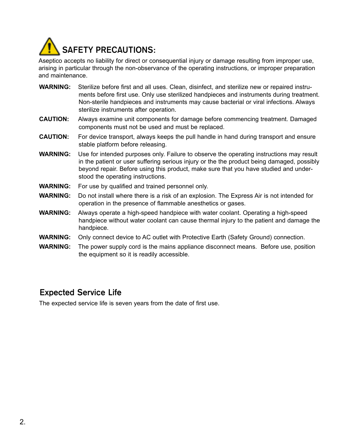

Aseptico accepts no liability for direct or consequential injury or damage resulting from improper use, arising in particular through the non-observance of the operating instructions, or improper preparation and maintenance.

| <b>WARNING:</b> | Sterilize before first and all uses. Clean, disinfect, and sterilize new or repaired instru-<br>ments before first use. Only use sterilized handpieces and instruments during treatment.<br>Non-sterile handpieces and instruments may cause bacterial or viral infections. Always<br>sterilize instruments after operation. |
|-----------------|------------------------------------------------------------------------------------------------------------------------------------------------------------------------------------------------------------------------------------------------------------------------------------------------------------------------------|
| <b>CAUTION:</b> | Always examine unit components for damage before commencing treatment. Damaged<br>components must not be used and must be replaced.                                                                                                                                                                                          |
| <b>CAUTION:</b> | For device transport, always keeps the pull handle in hand during transport and ensure<br>stable platform before releasing.                                                                                                                                                                                                  |
| <b>WARNING:</b> | Use for intended purposes only. Failure to observe the operating instructions may result<br>in the patient or user suffering serious injury or the the product being damaged, possibly<br>beyond repair. Before using this product, make sure that you have studied and under-<br>stood the operating instructions.          |
| <b>WARNING:</b> | For use by qualified and trained personnel only.                                                                                                                                                                                                                                                                             |
| <b>WARNING:</b> | Do not install where there is a risk of an explosion. The Express Air is not intended for<br>operation in the presence of flammable anesthetics or gases.                                                                                                                                                                    |
| <b>WARNING:</b> | Always operate a high-speed handpiece with water coolant. Operating a high-speed<br>handpiece without water coolant can cause thermal injury to the patient and damage the<br>handpiece.                                                                                                                                     |
| <b>WARNING:</b> | Only connect device to AC outlet with Protective Earth (Safety Ground) connection.                                                                                                                                                                                                                                           |
|                 |                                                                                                                                                                                                                                                                                                                              |

**WARNING:** The power supply cord is the mains appliance disconnect means. Before use, position the equipment so it is readily accessible.

### **Expected Service Life**

The expected service life is seven years from the date of first use.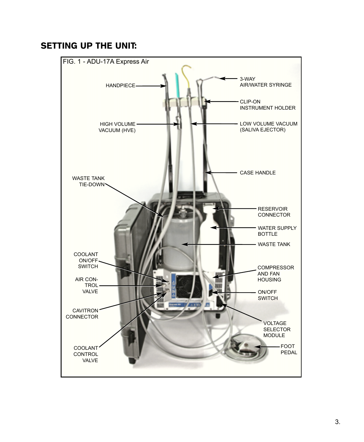### SETTING UP THE UNIT:

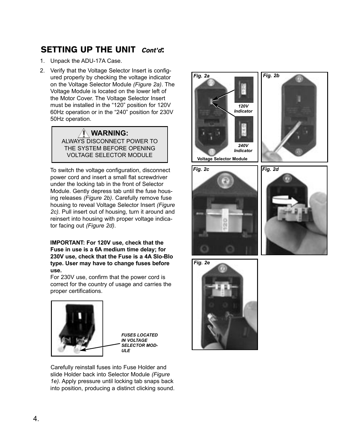### SETTING UP THE UNIT Cont'd:

1. Unpack the ADU-17A Case.

2. Verify that the Voltage Selector Insert is configured properly by checking the voltage indicator on the Voltage Selector Module *(Figure 2a)*. The Voltage Module is located on the lower left of the Motor Cover. The Voltage Selector Insert must be installed in the "120" position for 120V 60Hz operation or in the "240" position for 230V 50Hz operation.

> **WARNING:** ALWAYS DISCONNECT POWER TO THE SYSTEM BEFORE OPENING VOLTAGE SELECTOR MODULE

To switch the voltage configuration, disconnect power cord and insert a small flat screwdriver under the locking tab in the front of Selector Module. Gently depress tab until the fuse housing releases *(Figure 2b)*. Carefully remove fuse housing to reveal Voltage Selector Insert *(Figure 2c).* Pull insert out of housing, turn it around and reinsert into housing with proper voltage indicator facing out *(Figure 2d)*.

**IMPORTANT: For 120V use, check that the Fuse in use is a 6A medium time delay; for 230V use, check that the Fuse is a 4A Slo-Blo type. User may have to change fuses before use.**

For 230V use, confirm that the power cord is correct for the country of usage and carries the proper certifications.



Carefully reinstall fuses into Fuse Holder and slide Holder back into Selector Module *(Figure 1e)*. Apply pressure until locking tab snaps back into position, producing a distinct clicking sound.

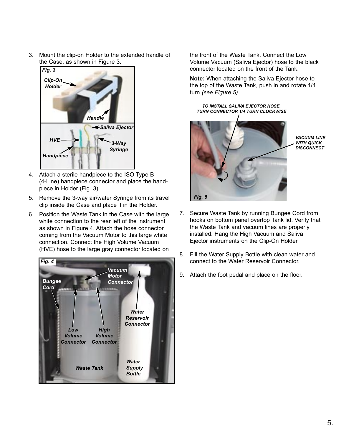3. Mount the clip-on Holder to the extended handle of the Case, as shown in Figure 3.



- 4. Attach a sterile handpiece to the ISO Type B (4-Line) handpiece connector and place the handpiece in Holder (Fig. 3).
- 5. Remove the 3-way air/water Syringe from its travel clip inside the Case and place it in the Holder.
- 6. Position the Waste Tank in the Case with the large white connection to the rear left of the instrument as shown in Figure 4. Attach the hose connector coming from the Vacuum Motor to this large white connection. Connect the High Volume Vacuum (HVE) hose to the large gray connector located on



the front of the Waste Tank. Connect the Low Volume Vacuum (Saliva Ejector) hose to the black connector located on the front of the Tank.

**Note:** When attaching the Saliva Ejector hose to the top of the Waste Tank, push in and rotate 1/4 turn *(see Figure 5)*.

*TO INSTALL SALIVA EJECTOR HOSE, TURN CONNECTOR 1/4 TURN CLOCKWISE*



*VACUUM LINE WITH QUICK DISCONNECT*

- 7. Secure Waste Tank by running Bungee Cord from hooks on bottom panel overtop Tank lid. Verify that the Waste Tank and vacuum lines are properly installed. Hang the High Vacuum and Saliva Ejector instruments on the Clip-On Holder.
- 8. Fill the Water Supply Bottle with clean water and connect to the Water Reservoir Connector.
- 9. Attach the foot pedal and place on the floor.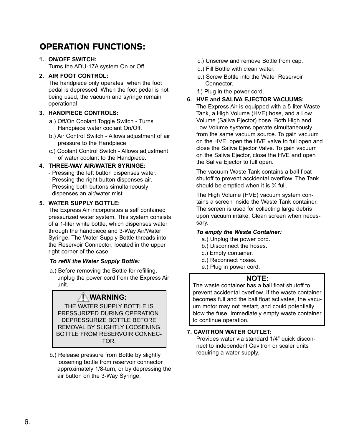### OPERATION FUNCTIONS:

**1. ON/OFF SWITCH:**

Turns the ADU-17A system On or Off.

#### **2. AIR FOOT CONTROL:**

The handpiece only operates when the foot pedal is depressed. When the foot pedal is not being used, the vacuum and syringe remain operational

#### **3. HANDPIECE CONTROLS:**

- a.) Off/On Coolant Toggle Switch Turns Handpiece water coolant On/Off.
- b.) Air Control Switch Allows adjustment of air pressure to the Handpiece.
- c.) Coolant Control Switch Allows adjustment of water coolant to the Handpiece.

#### **4. THREE-WAY AIR/WATER SYRINGE:**

- Pressing the left button dispenses water.
- Pressing the right button dispenses air.
- Pressing both buttons simultaneously dispenses an air/water mist.

#### **5. WATER SUPPLY BOTTLE:**

The Express Air incorporates a self contained pressurized water system. This system consists of a 1-liter white bottle, which dispenses water through the handpiece and 3-Way Air/Water Syringe. The Water Supply Bottle threads into the Reservoir Connector, located in the upper right corner of the case.

#### *To refill the Water Supply Bottle:*

a.) Before removing the Bottle for refilling, unplug the power cord from the Express Air unit.

### **WARNING:**

THE WATER SUPPLY BOTTLE IS PRESSURIZED DURING OPERATION. DEPRESSURIZE BOTTLE BEFORE REMOVAL BY SLIGHTLY LOOSENING BOTTLE FROM RESERVOIR CONNEC-TOR.

b.) Release pressure from Bottle by slightly loosening bottle from reservoir connector approximately 1/8-turn, or by depressing the air button on the 3-Way Syringe.

- c.) Unscrew and remove Bottle from cap.
- d.) Fill Bottle with clean water.
- e.) Screw Bottle into the Water Reservoir **Connector**
- f.) Plug in the power cord.

#### **6. HVE and SALIVA EJECTOR VACUUMS:**

The Express Air is equipped with a 5-liter Waste Tank, a High Volume (HVE) hose, and a Low Volume (Saliva Ejector) hose. Both High and Low Volume systems operate simultaneously from the same vacuum source. To gain vacuum on the HVE, open the HVE valve to full open and close the Saliva Ejector Valve. To gain vacuum on the Saliva Ejector, close the HVE and open the Saliva Ejector to full open.

The vacuum Waste Tank contains a ball float shutoff to prevent accidental overflow. The Tank should be emptied when it is ¾ full.

The High Volume (HVE) vacuum system contains a screen inside the Waste Tank container. The screen is used for collecting large debris upon vacuum intake. Clean screen when necessary.

#### *To empty the Waste Container:*

- a.) Unplug the power cord.
- b.) Disconnect the hoses.
- c.) Empty container.
- d.) Reconnect hoses.
- e.) Plug in power cord.

#### **NOTE:**

The waste container has a ball float shutoff to prevent accidental overflow. If the waste container becomes full and the ball float activates, the vacuum motor may not restart, and could potentially blow the fuse. Immediately empty waste container to continue operation.

#### **7. CAVITRON WATER OUTLET:**

Provides water via standard 1/4" quick disconnect to independent Cavitron or scaler units requiring a water supply.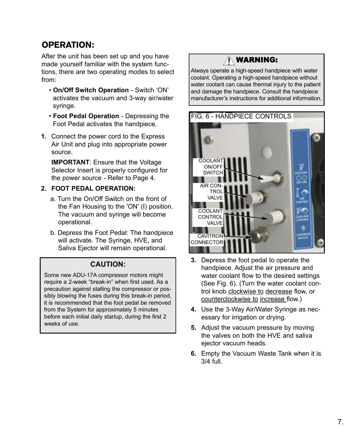### OPERATION:

After the unit has been set up and you have made yourself familiar with the system functions, there are two operating modes to select from:

- **On/Off Switch Operation**  Switch 'ON' activates the vacuum and 3-way air/water syringe.
- **Foot Pedal Operation** Depressing the Foot Pedal activates the handpiece.
- **1.** Connect the power cord to the Express Air Unit and plug into appropriate power source.

**IMPORTANT**: Ensure that the Voltage Selector Insert is properly configured for the power source - Refer to Page 4.

#### **2. FOOT PEDAL OPERATION:**

- a. Turn the On/Off Switch on the front of the Fan Housing to the 'ON' (I) position. The vacuum and syringe will become operational.
- b. Depress the Foot Pedal: The handpiece will activate. The Syringe, HVE, and Saliva Ejector will remain operational.

#### **CAUTION:**

Some new ADU-17A compressor motors might require a 2-week "break-in" when first used. As a precaution against stalling the compressor or possibly blowing the fuses during this break-in period, it is recommended that the foot pedal be removed from the System for approximately 5 minutes before each initial daily startup, during the first 2 weeks of use.

### WARNING:

Always operate a high-speed handpiece with water coolant. Operating a high-speed handpiece without water coolant can cause thermal injury to the patient and damage the handpiece. Consult the handpiece manufacturer's instructions for additional information.



- **3.** Depress the foot pedal to operate the handpiece. Adjust the air pressure and water coolant flow to the desired settings (See Fig. 6). (Turn the water coolant control knob clockwise to decrease flow, or counterclockwise to increase flow.)
- **4.** Use the 3-Way Air/Water Syringe as necessary for irrigation or drying.
- **5.** Adjust the vacuum pressure by moving the valves on both the HVE and saliva ejector vacuum heads.
- **6.** Empty the Vacuum Waste Tank when it is 3/4 full.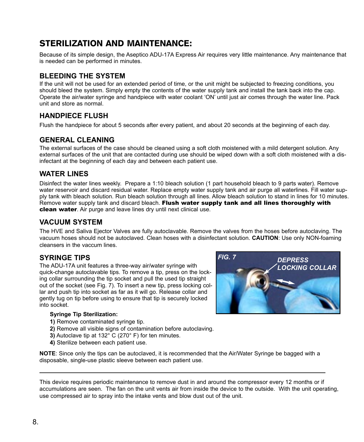### STERILIZATION AND MAINTENANCE:

Because of its simple design, the Aseptico ADU-17A Express Air requires very little maintenance. Any maintenance that is needed can be performed in minutes.

### **BLEEDING THE SYSTEM**

If the unit will not be used for an extended period of time, or the unit might be subjected to freezing conditions, you should bleed the system. Simply empty the contents of the water supply tank and install the tank back into the cap. Operate the air/water syringe and handpiece with water coolant 'ON' until just air comes through the water line. Pack unit and store as normal.

### **HANDPIECE FLUSH**

Flush the handpiece for about 5 seconds after every patient, and about 20 seconds at the beginning of each day.

#### **GENERAL CLEANING**

The external surfaces of the case should be cleaned using a soft cloth moistened with a mild detergent solution. Any external surfaces of the unit that are contacted during use should be wiped down with a soft cloth moistened with a disinfectant at the beginning of each day and between each patient use.

### **WATER LINES**

Disinfect the water lines weekly. Prepare a 1:10 bleach solution (1 part household bleach to 9 parts water). Remove water reservoir and discard residual water. Replace empty water supply tank and air purge all waterlines. Fill water supply tank with bleach solution. Run bleach solution through all lines. Allow bleach solution to stand in lines for 10 minutes. Remove water supply tank and discard bleach. Flush water supply tank and all lines thoroughly with **clean water**. Air purge and leave lines dry until next clinical use.

### **VACUUM SYSTEM**

The HVE and Saliva Ejector Valves are fully autoclavable. Remove the valves from the hoses before autoclaving. The vacuum hoses should not be autoclaved. Clean hoses with a disinfectant solution. **CAUTION**: Use only NON-foaming cleansers in the vaccum lines.

### **SYRINGE TIPS**

The ADU-17A unit features a three-way air/water syringe with quick-change autoclavable tips. To remove a tip, press on the locking collar surrounding the tip socket and pull the used tip straight out of the socket (see Fig. 7). To insert a new tip, press locking collar and push tip into socket as far as it will go. Release collar and gently tug on tip before using to ensure that tip is securely locked into socket.

#### **Syringe Tip Sterilization:**

- **1)** Remove contaminated syringe tip.
- **2)** Remove all visible signs of contamination before autoclaving.
- **3)** Autoclave tip at 132° C (270° F) for ten minutes.
- **4)** Sterilize between each patient use.

**NOTE**: Since only the tips can be autoclaved, it is recommended that the Air/Water Syringe be bagged with a disposable, single-use plastic sleeve between each patient use.

This device requires periodic maintenance to remove dust in and around the compressor every 12 months or if accumulations are seen. The fan on the unit vents air from inside the device to the outside. With the unit operating, use compressed air to spray into the intake vents and blow dust out of the unit.

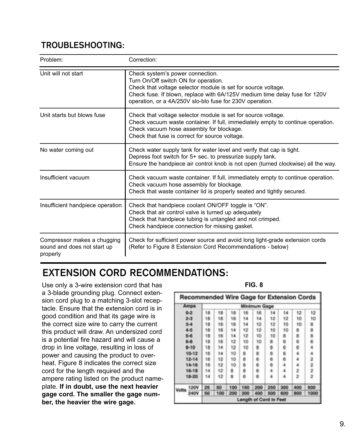### **TROUBLESHOOTING:**

| Problem:                                                               | Correction:                                                                                                                                                                                                                                                                         |
|------------------------------------------------------------------------|-------------------------------------------------------------------------------------------------------------------------------------------------------------------------------------------------------------------------------------------------------------------------------------|
| Unit will not start                                                    | Check system's power connection.<br>Turn On/Off switch ON for operation.<br>Check that voltage selector module is set for source voltage.<br>Check fuse. If blown, replace with 6A/125V medium time delay fuse for 120V<br>operation, or a 4A/250V slo-blo fuse for 230V operation. |
| Unit starts but blows fuse                                             | Check that voltage selector module is set for source voltage.<br>Check vacuum waste container. If full, immediately empty to continue operation.<br>Check vacuum hose assembly for blockage.<br>Check that fuse is correct for source voltage.                                      |
| No water coming out                                                    | Check water supply tank for water level and verify that cap is tight.<br>Depress foot switch for 5+ sec. to pressurize supply tank.<br>Ensure the handpiece air control knob is not open (turned clockwise) all the way.                                                            |
| Insufficient vacuum                                                    | Check vacuum waste container. If full, immediately empty to continue operation.<br>Check vacuum hose assembly for blockage.<br>Check that waste container lid is properly seated and tightly secured.                                                                               |
| Insufficient handpiece operation                                       | Check that handpiece coolant ON/OFF toggle is "ON".<br>Check that air control valve is turned up adequately<br>Check that handpiece tubing is untangled and not crimped.<br>Check handpiece connection for missing gasket.                                                          |
| Compressor makes a chugging<br>sound and does not start up<br>properly | Check for sufficient power source and avoid long light-grade extension cords<br>(Refer to Figure 8 Extension Cord Recommendations - below)                                                                                                                                          |

## **EXTENSION CORD RECOMMENDATIONS:**

Use only a 3-wire extension cord that has a 3-blade grounding plug. Connect extension cord plug to a matching 3-slot receptacle. Ensure that the extension cord is in good condition and that its gage wire is the correct size wire to carry the current this product will draw. An undersized cord is a potential fire hazard and will cause a drop in line voltage, resulting in loss of power and causing the product to overheat. Figure 8 indicates the correct size cord for the length required and the ampere rating listed on the product nameplate. **If in doubt, use the next heavier gage cord. The smaller the gage number, the heavier the wire gage.**

**FIG. 8**

| Recommended Wire Gage for Extension Cords |           |                     |     |     |     |                        |     |     |     |                 |
|-------------------------------------------|-----------|---------------------|-----|-----|-----|------------------------|-----|-----|-----|-----------------|
|                                           | Amps      | <b>Minimum Gage</b> |     |     |     |                        |     |     |     |                 |
|                                           | $0 - 2$   | 18                  | 18  | 18  | 16  | 16                     | 14  | 14  | 12  | 12 <sup>7</sup> |
|                                           | $2-3$     | 18                  | 18  | 16  | 14  | 14                     | 12  | 12  | 10  | ŤО              |
|                                           | $3 - 4$   | 18                  | 18  | 16  | 14  | 12                     | 12  | 10  | 10  | 8               |
|                                           | 4-5       | 18                  | 18  | 14  | 12  | 12                     | 10  | 10  | 8   | 8               |
|                                           | 5-6       | 18                  | 16  | 14  | 12  | 10                     | 10  |     | 8   | a.              |
|                                           | 6-8       | 18                  | 16  | 12  | 10  | 10                     |     |     | 6   | в               |
|                                           | $8 - 10$  | 18                  | 14  | 12  | 10  | 8                      |     |     | 6   |                 |
|                                           | $10 - 12$ | 16                  | 14  | 10  | в   | ä                      |     |     |     |                 |
|                                           | $12 - 14$ | 16                  | 12  | 10  | B   | e                      |     |     |     |                 |
|                                           | $14 - 16$ | 16                  | 12  | 10  | B   | ¢                      |     |     |     |                 |
|                                           | $16 - 18$ | 14                  | 12. | в   | в   | 6                      |     |     |     |                 |
|                                           | 18-20     | 14                  | 12  | в   | 6   | e                      |     |     |     |                 |
| Volta                                     | 120V      |                     | 50  | 100 | 150 | 200                    | 250 | 300 | 400 | 500             |
|                                           | 240V      | 50                  | 100 | 200 | 300 | 400                    | 500 | 600 | 800 | 1000            |
|                                           |           |                     |     |     |     | Length of Cord in Feet |     |     |     |                 |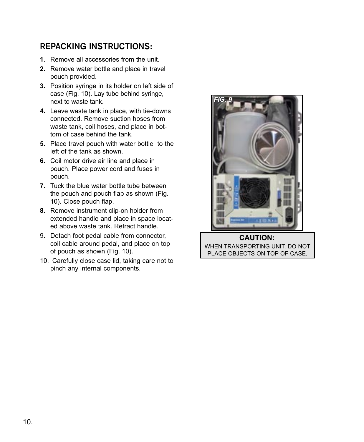### **REPACKING INSTRUCTIONS:**

- **1**. Remove all accessories from the unit.
- **2.** Remove water bottle and place in travel pouch provided.
- **3.** Position syringe in its holder on left side of case (Fig. 10). Lay tube behind syringe, next to waste tank.
- **4.** Leave waste tank in place, with tie-downs connected. Remove suction hoses from waste tank, coil hoses, and place in bottom of case behind the tank.
- **5.** Place travel pouch with water bottle to the left of the tank as shown.
- **6.** Coil motor drive air line and place in pouch. Place power cord and fuses in pouch.
- **7.** Tuck the blue water bottle tube between the pouch and pouch flap as shown (Fig. 10). Close pouch flap.
- **8.** Remove instrument clip-on holder from extended handle and place in space located above waste tank. Retract handle.
- 9. Detach foot pedal cable from connector, coil cable around pedal, and place on top of pouch as shown (Fig. 10).
- 10. Carefully close case lid, taking care not to pinch any internal components.



WHEN TRANSPORTING UNIT, DO NOT PLACE OBJECTS ON TOP OF CASE. **CAUTION:**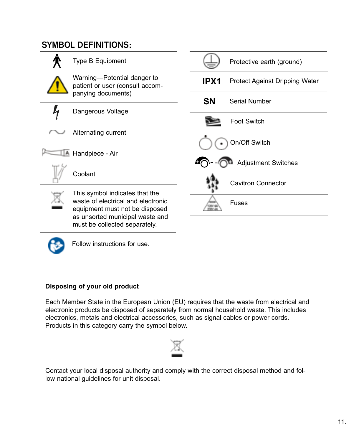### **SYMBOL DEFINITIONS:**



Follow instructions for use.

### **Disposing of your old product**

Each Member State in the European Union (EU) requires that the waste from electrical and electronic products be disposed of separately from normal household waste. This includes electronics, metals and electrical accessories, such as signal cables or power cords. Products in this category carry the symbol below.



Contact your local disposal authority and comply with the correct disposal method and follow national guidelines for unit disposal.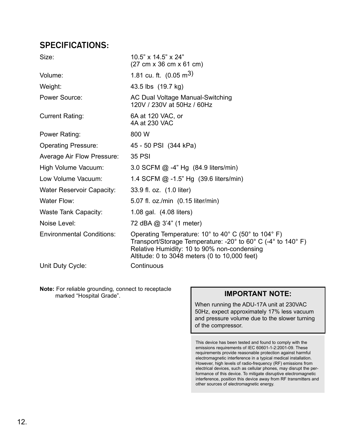### **SPECIFICATIONS:**

| Size:                            | $10.5" \times 14.5" \times 24"$<br>$(27 \text{ cm} \times 36 \text{ cm} \times 61 \text{ cm})$                                                                                                                                                                                         |
|----------------------------------|----------------------------------------------------------------------------------------------------------------------------------------------------------------------------------------------------------------------------------------------------------------------------------------|
| Volume:                          | 1.81 cu. ft. $(0.05 \text{ m}^3)$                                                                                                                                                                                                                                                      |
| Weight:                          | 43.5 lbs (19.7 kg)                                                                                                                                                                                                                                                                     |
| Power Source:                    | AC Dual Voltage Manual-Switching<br>120V / 230V at 50Hz / 60Hz                                                                                                                                                                                                                         |
| <b>Current Rating:</b>           | 6A at 120 VAC, or<br>4A at 230 VAC                                                                                                                                                                                                                                                     |
| Power Rating:                    | 800 W                                                                                                                                                                                                                                                                                  |
| <b>Operating Pressure:</b>       | 45 - 50 PSI (344 kPa)                                                                                                                                                                                                                                                                  |
| Average Air Flow Pressure:       | 35 PSI                                                                                                                                                                                                                                                                                 |
| High Volume Vacuum:              | 3.0 SCFM @ -4" Hg (84.9 liters/min)                                                                                                                                                                                                                                                    |
| Low Volume Vacuum:               | 1.4 SCFM $@ -1.5"$ Hg $(39.6$ liters/min)                                                                                                                                                                                                                                              |
| Water Reservoir Capacity:        | 33.9 fl. oz. (1.0 liter)                                                                                                                                                                                                                                                               |
| Water Flow:                      | 5.07 fl. oz./min (0.15 liter/min)                                                                                                                                                                                                                                                      |
| Waste Tank Capacity:             | 1.08 gal. (4.08 liters)                                                                                                                                                                                                                                                                |
| Noise Level:                     | 72 dBA @ 3'4" (1 meter)                                                                                                                                                                                                                                                                |
| <b>Environmental Conditions:</b> | Operating Temperature: $10^{\circ}$ to $40^{\circ}$ C (50° to $104^{\circ}$ F)<br>Transport/Storage Temperature: -20 $^{\circ}$ to 60 $^{\circ}$ C (-4 $^{\circ}$ to 140 $^{\circ}$ F)<br>Relative Humidity: 10 to 90% non-condensing<br>Altitude: 0 to 3048 meters (0 to 10,000 feet) |
| Unit Duty Cycle:                 | Continuous                                                                                                                                                                                                                                                                             |

**Note:** For reliable grounding, connect to receptacle marked "Hospital Grade". **IMPORTANT NOTE:**

When running the ADU-17A unit at 230VAC 50Hz, expect approximately 17% less vacuum and pressure volume due to the slower turning of the compressor.

This device has been tested and found to comply with the emissions requirements of IEC 60601-1-2:2001-09. These requirements provide reasonable protection against harmful electromagnetic interference in a typical medical installation. However, high levels of radio-frequency (RF) emissions from electrical devices, such as cellular phones, may disrupt the performance of this device. To mitigate disruptive electromagnetic interference, position this device away from RF transmitters and other sources of electromagnetic energy.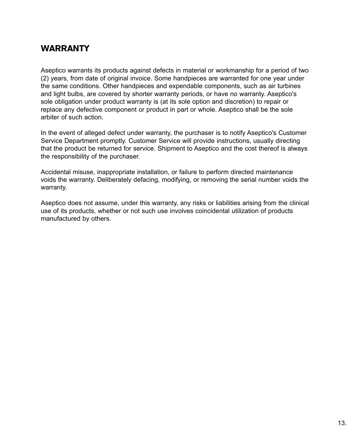### **WARRANTY**

Aseptico warrants its products against defects in material or workmanship for a period of two (2) years, from date of original invoice. Some handpieces are warranted for one year under the same conditions. Other handpieces and expendable components, such as air turbines and light bulbs, are covered by shorter warranty periods, or have no warranty. Aseptico's sole obligation under product warranty is (at its sole option and discretion) to repair or replace any defective component or product in part or whole. Aseptico shall be the sole arbiter of such action.

In the event of alleged defect under warranty, the purchaser is to notify Aseptico's Customer Service Department promptly. Customer Service will provide instructions, usually directing that the product be returned for service. Shipment to Aseptico and the cost thereof is always the responsibility of the purchaser.

Accidental misuse, inappropriate installation, or failure to perform directed maintenance voids the warranty. Deliberately defacing, modifying, or removing the serial number voids the warranty.

Aseptico does not assume, under this warranty, any risks or liabilities arising from the clinical use of its products, whether or not such use involves coincidental utilization of products manufactured by others.